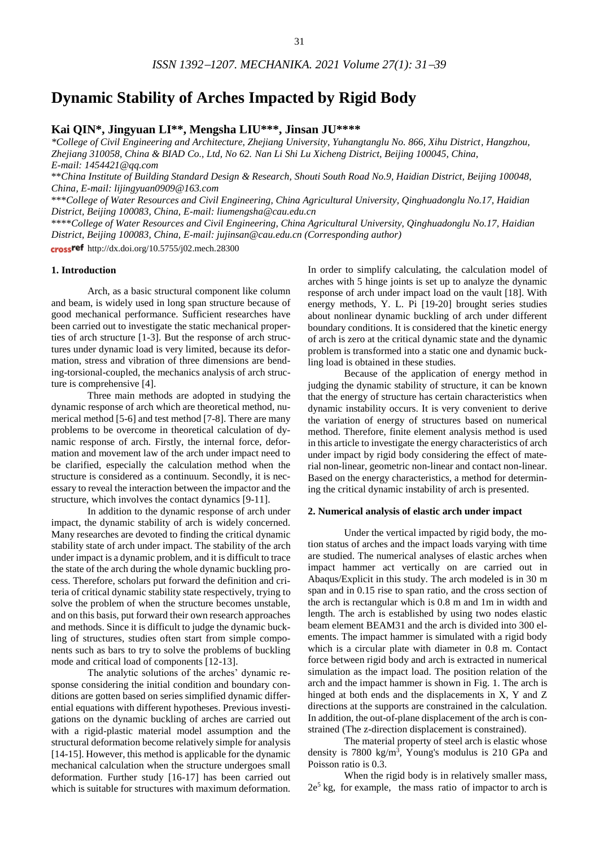# **Dynamic Stability of Arches Impacted by Rigid Body**

**Kai QIN\*, Jingyuan LI\*\*, Mengsha LIU\*\*\*, Jinsan JU\*\*\*\***

*\*College of Civil Engineering and Architecture, Zhejiang University, Yuhangtanglu No. 866, Xihu District, Hangzhou, Zhejiang 310058, China & BIAD Co., Ltd, No 62. Nan Li Shi Lu Xicheng District, Beijing 100045, China, E-mail: 1454421@qq.com*

\*\**China Institute of Building Standard Design & Research, Shouti South Road No.9, Haidian District, Beijing 100048, China, E-mail: lijingyuan0909@163.com*

\*\*\**College of Water Resources and Civil Engineering, China Agricultural University, Qinghuadonglu No.17, Haidian District, Beijing 100083, China, E-mail[: liumengsha@cau.edu.cn](mailto:liumengsha@cau.edu.cn)*

\*\*\*\**College of Water Resources and Civil Engineering, China Agricultural University, Qinghuadonglu No.17, Haidian District, Beijing 100083, China, E-mail[: jujinsan@cau.edu.cn](mailto:jujinsan@cau.edu.cn) (Corresponding author)*

crossref http://dx.doi.org/10.5755/j02.mech.28300

#### **1. Introduction**

Arch, as a basic structural component like column and beam, is widely used in long span structure because of good mechanical performance. Sufficient researches have been carried out to investigate the static mechanical properties of arch structure [1-3]. But the response of arch structures under dynamic load is very limited, because its deformation, stress and vibration of three dimensions are bending-torsional-coupled, the mechanics analysis of arch structure is comprehensive [4].

Three main methods are adopted in studying the dynamic response of arch which are theoretical method, numerical method [5-6] and test method [7-8]. There are many problems to be overcome in theoretical calculation of dynamic response of arch. Firstly, the internal force, deformation and movement law of the arch under impact need to be clarified, especially the calculation method when the structure is considered as a continuum. Secondly, it is necessary to reveal the interaction between the impactor and the structure, which involves the contact dynamics [9-11].

In addition to the dynamic response of arch under impact, the dynamic stability of arch is widely concerned. Many researches are devoted to finding the critical dynamic stability state of arch under impact. The stability of the arch under impact is a dynamic problem, and it is difficult to trace the state of the arch during the whole dynamic buckling process. Therefore, scholars put forward the definition and criteria of critical dynamic stability state respectively, trying to solve the problem of when the structure becomes unstable, and on this basis, put forward their own research approaches and methods. Since it is difficult to judge the dynamic buckling of structures, studies often start from simple components such as bars to try to solve the problems of buckling mode and critical load of components [12-13].

The analytic solutions of the arches' dynamic response considering the initial condition and boundary conditions are gotten based on series simplified dynamic differential equations with different hypotheses. Previous investigations on the dynamic buckling of arches are carried out with a rigid-plastic material model assumption and the structural deformation become relatively simple for analysis [14-15]. However, this method is applicable for the dynamic mechanical calculation when the structure undergoes small deformation. Further study [16-17] has been carried out which is suitable for structures with maximum deformation.

In order to simplify calculating, the calculation model of arches with 5 hinge joints is set up to analyze the dynamic response of arch under impact load on the vault [18]. With energy methods, Y. L. Pi [19-20] brought series studies about nonlinear dynamic buckling of arch under different boundary conditions. It is considered that the kinetic energy of arch is zero at the critical dynamic state and the dynamic problem is transformed into a static one and dynamic buckling load is obtained in these studies.

Because of the application of energy method in judging the dynamic stability of structure, it can be known that the energy of structure has certain characteristics when dynamic instability occurs. It is very convenient to derive the variation of energy of structures based on numerical method. Therefore, finite element analysis method is used in this article to investigate the energy characteristics of arch under impact by rigid body considering the effect of material non-linear, geometric non-linear and contact non-linear. Based on the energy characteristics, a method for determining the critical dynamic instability of arch is presented.

#### **2. Numerical analysis of elastic arch under impact**

Under the vertical impacted by rigid body, the motion status of arches and the impact loads varying with time are studied. The numerical analyses of elastic arches when impact hammer act vertically on are carried out in Abaqus/Explicit in this study. The arch modeled is in 30 m span and in 0.15 rise to span ratio, and the cross section of the arch is rectangular which is 0.8 m and 1m in width and length. The arch is established by using two nodes elastic beam element BEAM31 and the arch is divided into 300 elements. The impact hammer is simulated with a rigid body which is a circular plate with diameter in 0.8 m. Contact force between rigid body and arch is extracted in numerical simulation as the impact load. The position relation of the arch and the impact hammer is shown in Fig. 1. The arch is hinged at both ends and the displacements in X, Y and Z directions at the supports are constrained in the calculation. In addition, the out-of-plane displacement of the arch is constrained (The z-direction displacement is constrained).

The material property of steel arch is elastic whose density is 7800 kg/m<sup>3</sup> , Young's modulus is 210 GPa and Poisson ratio is 0.3.

When the rigid body is in relatively smaller mass,  $2e<sup>5</sup>$  kg, for example, the mass ratio of impactor to arch is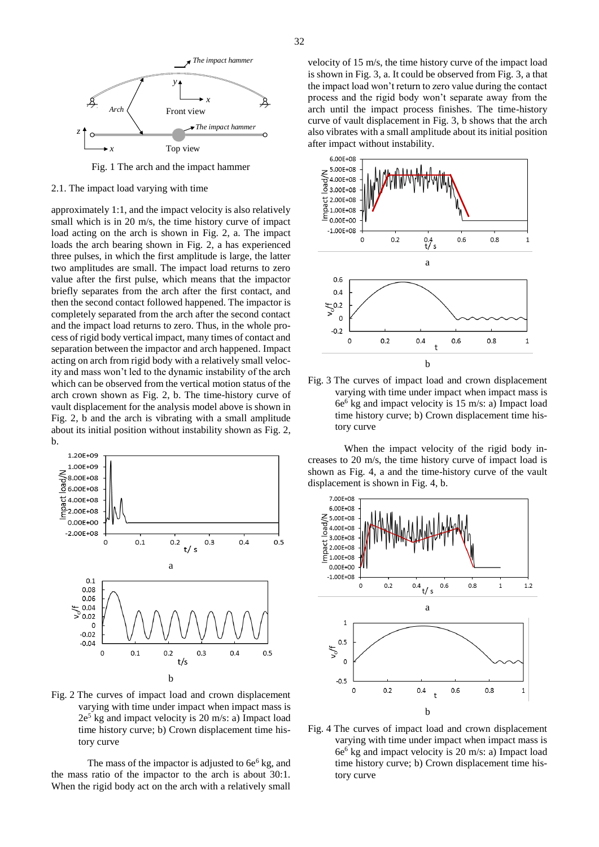

Fig. 1 The arch and the impact hammer

#### 2.1. The impact load varying with time

approximately 1:1, and the impact velocity is also relatively small which is in 20 m/s, the time history curve of impact load acting on the arch is shown in Fig. 2, a. The impact loads the arch bearing shown in Fig. 2, a has experienced three pulses, in which the first amplitude is large, the latter two amplitudes are small. The impact load returns to zero value after the first pulse, which means that the impactor briefly separates from the arch after the first contact, and then the second contact followed happened. The impactor is completely separated from the arch after the second contact and the impact load returns to zero. Thus, in the whole process of rigid body vertical impact, many times of contact and separation between the impactor and arch happened. Impact acting on arch from rigid body with a relatively small velocity and mass won't led to the dynamic instability of the arch which can be observed from the vertical motion status of the arch crown shown as Fig. 2, b. The time-history curve of vault displacement for the analysis model above is shown in Fig. 2, b and the arch is vibrating with a small amplitude about its initial position without instability shown as Fig. 2, b.



Fig. 2 The curves of impact load and crown displacement varying with time under impact when impact mass is 2e <sup>5</sup> kg and impact velocity is 20 m/s: a) Impact load time history curve; b) Crown displacement time history curve

The mass of the impactor is adjusted to  $6e^6$  kg, and the mass ratio of the impactor to the arch is about 30:1. When the rigid body act on the arch with a relatively small

velocity of 15 m/s, the time history curve of the impact load is shown in Fig. 3, a. It could be observed from Fig. 3, a that the impact load won't return to zero value during the contact process and the rigid body won't separate away from the arch until the impact process finishes. The time-history curve of vault displacement in Fig. 3, b shows that the arch also vibrates with a small amplitude about its initial position after impact without instability.



Fig. 3 The curves of impact load and crown displacement varying with time under impact when impact mass is 6e <sup>6</sup> kg and impact velocity is 15 m/s: a) Impact load time history curve; b) Crown displacement time history curve

When the impact velocity of the rigid body increases to 20 m/s, the time history curve of impact load is shown as Fig. 4, a and the time-history curve of the vault displacement is shown in Fig. 4, b.



Fig. 4 The curves of impact load and crown displacement varying with time under impact when impact mass is 6e <sup>6</sup> kg and impact velocity is 20 m/s: a) Impact load time history curve; b) Crown displacement time history curve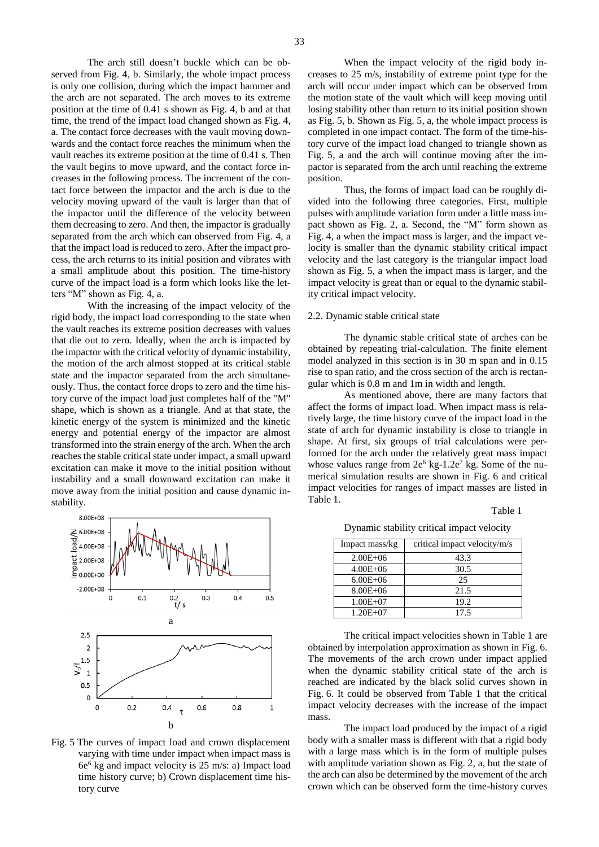The arch still doesn't buckle which can be observed from Fig. 4, b. Similarly, the whole impact process is only one collision, during which the impact hammer and the arch are not separated. The arch moves to its extreme position at the time of 0.41 s shown as Fig. 4, b and at that time, the trend of the impact load changed shown as Fig. 4, a. The contact force decreases with the vault moving downwards and the contact force reaches the minimum when the vault reaches its extreme position at the time of 0.41 s. Then the vault begins to move upward, and the contact force increases in the following process. The increment of the contact force between the impactor and the arch is due to the velocity moving upward of the vault is larger than that of the impactor until the difference of the velocity between them decreasing to zero. And then, the impactor is gradually separated from the arch which can observed from Fig. 4, a that the impact load is reduced to zero. After the impact process, the arch returns to its initial position and vibrates with a small amplitude about this position. The time-history curve of the impact load is a form which looks like the letters "M" shown as Fig. 4, a.

With the increasing of the impact velocity of the rigid body, the impact load corresponding to the state when the vault reaches its extreme position decreases with values that die out to zero. Ideally, when the arch is impacted by the impactor with the critical velocity of dynamic instability, the motion of the arch almost stopped at its critical stable state and the impactor separated from the arch simultaneously. Thus, the contact force drops to zero and the time history curve of the impact load just completes half of the "M" shape, which is shown as a triangle. And at that state, the kinetic energy of the system is minimized and the kinetic energy and potential energy of the impactor are almost transformed into the strain energy of the arch. When the arch reaches the stable critical state under impact, a small upward excitation can make it move to the initial position without instability and a small downward excitation can make it move away from the initial position and cause dynamic instability.



Fig. 5 The curves of impact load and crown displacement varying with time under impact when impact mass is 6e <sup>6</sup> kg and impact velocity is 25 m/s: a) Impact load time history curve; b) Crown displacement time history curve

When the impact velocity of the rigid body increases to 25 m/s, instability of extreme point type for the arch will occur under impact which can be observed from the motion state of the vault which will keep moving until losing stability other than return to its initial position shown as Fig. 5, b. Shown as Fig. 5, a, the whole impact process is completed in one impact contact. The form of the time-history curve of the impact load changed to triangle shown as Fig. 5, a and the arch will continue moving after the impactor is separated from the arch until reaching the extreme position.

Thus, the forms of impact load can be roughly divided into the following three categories. First, multiple pulses with amplitude variation form under a little mass impact shown as Fig. 2, a. Second, the "M" form shown as Fig. 4, a when the impact mass is larger, and the impact velocity is smaller than the dynamic stability critical impact velocity and the last category is the triangular impact load shown as Fig. 5, a when the impact mass is larger, and the impact velocity is great than or equal to the dynamic stability critical impact velocity.

#### 2.2. Dynamic stable critical state

The dynamic stable critical state of arches can be obtained by repeating trial-calculation. The finite element model analyzed in this section is in 30 m span and in 0.15 rise to span ratio, and the cross section of the arch is rectangular which is 0.8 m and 1m in width and length.

As mentioned above, there are many factors that affect the forms of impact load. When impact mass is relatively large, the time history curve of the impact load in the state of arch for dynamic instability is close to triangle in shape. At first, six groups of trial calculations were performed for the arch under the relatively great mass impact whose values range from  $2e^6$  kg-1.2 $e^7$  kg. Some of the numerical simulation results are shown in Fig. 6 and critical impact velocities for ranges of impact masses are listed in Table 1.

Table 1

Dynamic stability critical impact velocity

| Impact mass/kg | critical impact velocity/m/s |
|----------------|------------------------------|
| $2.00E + 06$   | 43.3                         |
| $4.00E + 06$   | 30.5                         |
| $6.00E + 06$   | 25                           |
| $8.00E + 06$   | 21.5                         |
| $1.00E + 07$   | 19.2                         |
| $1.20E + 07$   | 17.5                         |

The critical impact velocities shown in Table 1 are obtained by interpolation approximation as shown in Fig. 6. The movements of the arch crown under impact applied when the dynamic stability critical state of the arch is reached are indicated by the black solid curves shown in Fig. 6. It could be observed from Table 1 that the critical impact velocity decreases with the increase of the impact mass.

The impact load produced by the impact of a rigid body with a smaller mass is different with that a rigid body with a large mass which is in the form of multiple pulses with amplitude variation shown as Fig. 2, a, but the state of the arch can also be determined by the movement of the arch crown which can be observed form the time-history curves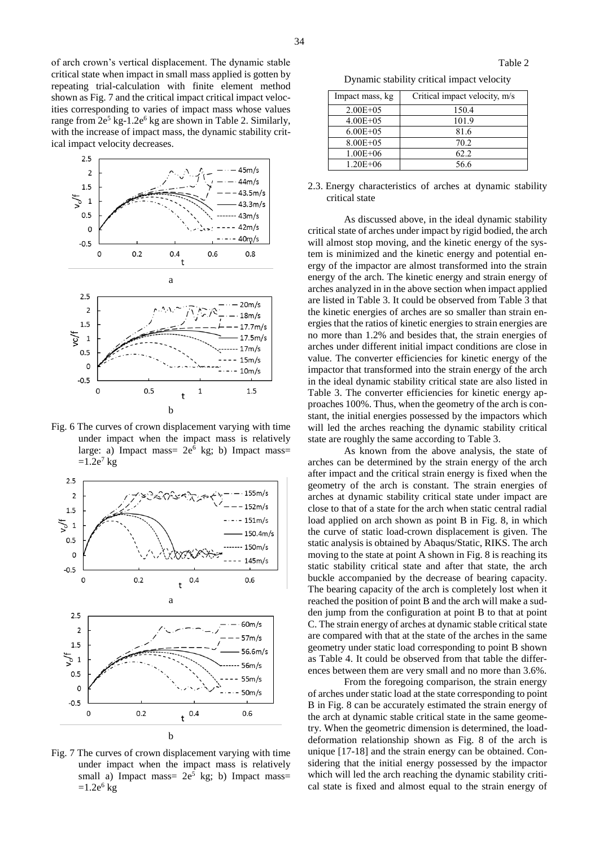of arch crown's vertical displacement. The dynamic stable critical state when impact in small mass applied is gotten by repeating trial-calculation with finite element method shown as Fig. 7 and the critical impact critical impact velocities corresponding to varies of impact mass whose values range from  $2e^5$  kg-1.2 $e^6$  kg are shown in Table 2. Similarly, with the increase of impact mass, the dynamic stability critical impact velocity decreases.



Fig. 6 The curves of crown displacement varying with time under impact when the impact mass is relatively large: a) Impact mass=  $2e^6$  kg; b) Impact mass=  $=1.2e^7$  kg



Fig. 7 The curves of crown displacement varying with time under impact when the impact mass is relatively small a) Impact mass=  $2e^5$  kg; b) Impact mass=  $=1.2e^6$  kg

Dynamic stability critical impact velocity

| Impact mass, kg | Critical impact velocity, m/s |
|-----------------|-------------------------------|
| $2.00E + 0.5$   | 150.4                         |
| $4.00E + 05$    | 101.9                         |
| $6.00E + 05$    | 81.6                          |
| $8.00E + 0.5$   | 70.2                          |
| $1.00E + 06$    | 62.2                          |
| $1.20E + 06$    | 56.6                          |

2.3. Energy characteristics of arches at dynamic stability critical state

As discussed above, in the ideal dynamic stability critical state of arches under impact by rigid bodied, the arch will almost stop moving, and the kinetic energy of the system is minimized and the kinetic energy and potential energy of the impactor are almost transformed into the strain energy of the arch. The kinetic energy and strain energy of arches analyzed in in the above section when impact applied are listed in Table 3. It could be observed from Table 3 that the kinetic energies of arches are so smaller than strain energies that the ratios of kinetic energies to strain energies are no more than 1.2% and besides that, the strain energies of arches under different initial impact conditions are close in value. The converter efficiencies for kinetic energy of the impactor that transformed into the strain energy of the arch in the ideal dynamic stability critical state are also listed in Table 3. The converter efficiencies for kinetic energy approaches 100%. Thus, when the geometry of the arch is constant, the initial energies possessed by the impactors which will led the arches reaching the dynamic stability critical state are roughly the same according to Table 3.

As known from the above analysis, the state of arches can be determined by the strain energy of the arch after impact and the critical strain energy is fixed when the geometry of the arch is constant. The strain energies of arches at dynamic stability critical state under impact are close to that of a state for the arch when static central radial load applied on arch shown as point B in Fig. 8, in which the curve of static load-crown displacement is given. The static analysis is obtained by Abaqus/Static, RIKS. The arch moving to the state at point A shown in Fig. 8 is reaching its static stability critical state and after that state, the arch buckle accompanied by the decrease of bearing capacity. The bearing capacity of the arch is completely lost when it reached the position of point B and the arch will make a sudden jump from the configuration at point B to that at point C. The strain energy of arches at dynamic stable critical state are compared with that at the state of the arches in the same geometry under static load corresponding to point B shown as Table 4. It could be observed from that table the differences between them are very small and no more than 3.6%.

From the foregoing comparison, the strain energy of arches under static load at the state corresponding to point B in Fig. 8 can be accurately estimated the strain energy of the arch at dynamic stable critical state in the same geometry. When the geometric dimension is determined, the loaddeformation relationship shown as Fig. 8 of the arch is unique [17-18] and the strain energy can be obtained. Considering that the initial energy possessed by the impactor which will led the arch reaching the dynamic stability critical state is fixed and almost equal to the strain energy of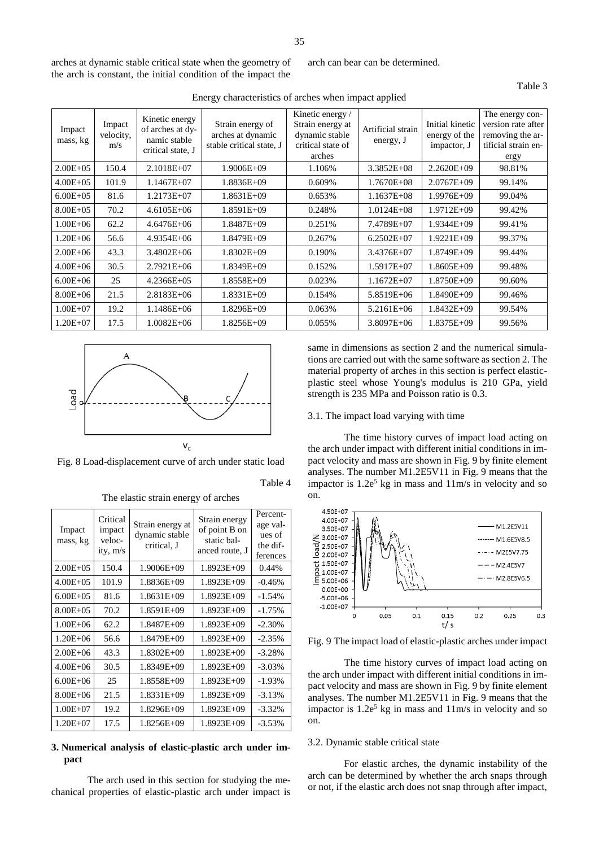arches at dynamic stable critical state when the geometry of the arch is constant, the initial condition of the impact the arch can bear can be determined.

Table 3

| Impact<br>mass, kg | Impact<br>velocity,<br>m/s | Kinetic energy<br>of arches at dy-<br>namic stable<br>critical state, J | Strain energy of<br>arches at dynamic<br>stable critical state, J | Kinetic energy /<br>Strain energy at<br>dynamic stable<br>critical state of<br>arches | Artificial strain<br>energy, J | Initial kinetic<br>energy of the<br>impactor, J | The energy con-<br>version rate after<br>removing the ar-<br>tificial strain en-<br>ergy |
|--------------------|----------------------------|-------------------------------------------------------------------------|-------------------------------------------------------------------|---------------------------------------------------------------------------------------|--------------------------------|-------------------------------------------------|------------------------------------------------------------------------------------------|
| $2.00E + 0.5$      | 150.4                      | $2.1018E + 07$                                                          | $1.9006E + 09$                                                    | 1.106%                                                                                | $3.3852E + 08$                 | $2.2620E + 09$                                  | 98.81%                                                                                   |
| $4.00E + 05$       | 101.9                      | $1.1467E + 07$                                                          | $1.8836E+09$                                                      | 0.609%                                                                                | $1.7670E + 08$                 | 2.0767E+09                                      | 99.14%                                                                                   |
| $6.00E + 05$       | 81.6                       | 1.2173E+07                                                              | $1.8631E+09$                                                      | 0.653%                                                                                | $1.1637E + 08$                 | $1.9976E + 09$                                  | 99.04%                                                                                   |
| $8.00E + 05$       | 70.2                       | $4.6105E + 06$                                                          | $1.8591E+09$                                                      | 0.248%                                                                                | $1.0124E + 08$                 | $1.9712E + 09$                                  | 99.42%                                                                                   |
| $1.00E + 06$       | 62.2                       | $4.6476E + 06$                                                          | 1.8487E+09                                                        | 0.251%                                                                                | 7.4789E+07                     | $1.9344E+09$                                    | 99.41%                                                                                   |
| $1.20E + 06$       | 56.6                       | $4.9354E + 06$                                                          | 1.8479E+09                                                        | 0.267%                                                                                | $6.2502E+07$                   | $1.9221E+09$                                    | 99.37%                                                                                   |
| $2.00E + 06$       | 43.3                       | $3.4802E + 06$                                                          | $1.8302E+09$                                                      | 0.190%                                                                                | 3.4376E+07                     | $1.8749E + 09$                                  | 99.44%                                                                                   |
| $4.00E + 06$       | 30.5                       | $2.7921E + 06$                                                          | $1.8349E+09$                                                      | 0.152%                                                                                | $1.5917E+07$                   | $1.8605E+09$                                    | 99.48%                                                                                   |
| $6.00E + 06$       | 25                         | $4.2366E + 05$                                                          | $1.8558E+09$                                                      | 0.023%                                                                                | $1.1672E + 07$                 | $1.8750E + 09$                                  | 99.60%                                                                                   |
| $8.00E + 06$       | 21.5                       | $2.8183E + 06$                                                          | $1.8331E+09$                                                      | 0.154%                                                                                | 5.8519E+06                     | $1.8490E + 09$                                  | 99.46%                                                                                   |
| $1.00E + 07$       | 19.2                       | $1.1486E + 06$                                                          | $1.8296E+09$                                                      | 0.063%                                                                                | $5.2161E + 06$                 | $1.8432E+09$                                    | 99.54%                                                                                   |
| $1.20E + 07$       | 17.5                       | $1.0082E + 06$                                                          | $1.8256E+09$                                                      | 0.055%                                                                                | $3.8097E + 06$                 | $1.8375E+09$                                    | 99.56%                                                                                   |

Energy characteristics of arches when impact applied



Fig. 8 Load-displacement curve of arch under static load

Table 4

The elastic strain energy of arches

| Impact<br>mass, kg | Critical<br>impact<br>veloc-<br>ity, m/s | Strain energy at<br>dynamic stable<br>critical, J | Strain energy<br>of point B on<br>static bal-<br>anced route, J | Percent-<br>age val-<br>ues of<br>the dif-<br>ferences |
|--------------------|------------------------------------------|---------------------------------------------------|-----------------------------------------------------------------|--------------------------------------------------------|
| $2.00E + 05$       | 150.4                                    | $1.9006E + 09$                                    | $1.8923E+09$                                                    | 0.44%                                                  |
| $4.00E + 05$       | 101.9                                    | $1.8836E+09$                                      | $1.8923E+09$                                                    | $-0.46%$                                               |
| $6.00E + 05$       | 81.6                                     | 1.8631E+09                                        | $1.8923E+09$                                                    | $-1.54%$                                               |
| $8.00E + 05$       | 70.2                                     | 1.8591E+09                                        | $1.8923E+09$                                                    | $-1.75%$                                               |
| $1.00E + 06$       | 62.2                                     | 1.8487E+09                                        | $1.8923E+09$                                                    | $-2.30%$                                               |
| $1.20E + 06$       | 56.6                                     | 1.8479E+09                                        | $1.8923E+09$                                                    | $-2.35%$                                               |
| $2.00E + 06$       | 43.3                                     | $1.8302E + 09$                                    | $1.8923E+09$                                                    | $-3.28%$                                               |
| $4.00E + 06$       | 30.5                                     | $1.8349E + 09$                                    | $1.8923E+09$                                                    | $-3.03\%$                                              |
| $6.00E + 06$       | 25                                       | 1.8558E+09                                        | $1.8923E+09$                                                    | $-1.93%$                                               |
| $8.00E + 06$       | 21.5                                     | $1.8331E+09$                                      | $1.8923E+09$                                                    | $-3.13%$                                               |
| $1.00E + 07$       | 19.2                                     | $1.8296E+09$                                      | $1.8923E+09$                                                    | $-3.32\%$                                              |
| $1.20E + 07$       | 17.5                                     | 1.8256E+09                                        | $1.8923E+09$                                                    | $-3.53\%$                                              |

## **3. Numerical analysis of elastic-plastic arch under impact**

The arch used in this section for studying the mechanical properties of elastic-plastic arch under impact is same in dimensions as section 2 and the numerical simulations are carried out with the same software as section 2. The material property of arches in this section is perfect elasticplastic steel whose Young's modulus is 210 GPa, yield strength is 235 MPa and Poisson ratio is 0.3.

#### 3.1. The impact load varying with time

The time history curves of impact load acting on the arch under impact with different initial conditions in impact velocity and mass are shown in Fig. 9 by finite element analyses. The number M1.2E5V11 in Fig. 9 means that the impactor is 1.2e <sup>5</sup> kg in mass and 11m/s in velocity and so on.



Fig. 9 The impact load of elastic-plastic arches under impact

The time history curves of impact load acting on the arch under impact with different initial conditions in impact velocity and mass are shown in Fig. 9 by finite element analyses. The number M1.2E5V11 in Fig. 9 means that the impactor is 1.2e <sup>5</sup> kg in mass and 11m/s in velocity and so on.

### 3.2. Dynamic stable critical state

For elastic arches, the dynamic instability of the arch can be determined by whether the arch snaps through or not, if the elastic arch does not snap through after impact,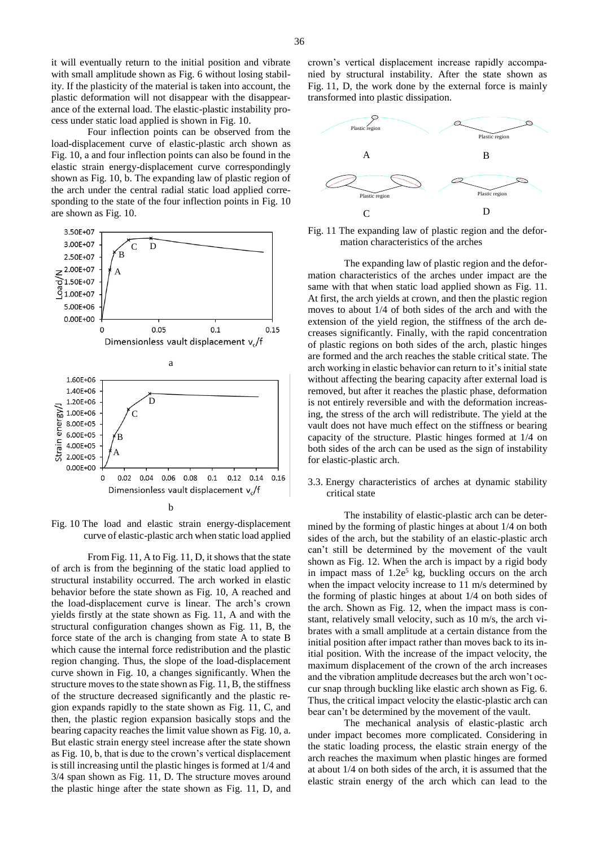it will eventually return to the initial position and vibrate with small amplitude shown as Fig. 6 without losing stability. If the plasticity of the material is taken into account, the plastic deformation will not disappear with the disappearance of the external load. The elastic-plastic instability process under static load applied is shown in Fig. 10.

Four inflection points can be observed from the load-displacement curve of elastic-plastic arch shown as Fig. 10, a and four inflection points can also be found in the elastic strain energy-displacement curve correspondingly shown as Fig. 10, b. The expanding law of plastic region of the arch under the central radial static load applied corresponding to the state of the four inflection points in Fig. 10 are shown as Fig. 10.



Fig. 10 The load and elastic strain energy-displacement curve of elastic-plastic arch when static load applied

From Fig. 11, A to Fig. 11, D, it shows that the state of arch is from the beginning of the static load applied to structural instability occurred. The arch worked in elastic behavior before the state shown as Fig. 10, A reached and the load-displacement curve is linear. The arch's crown yields firstly at the state shown as Fig. 11, A and with the structural configuration changes shown as Fig. 11, B, the force state of the arch is changing from state A to state B which cause the internal force redistribution and the plastic region changing. Thus, the slope of the load-displacement curve shown in Fig. 10, a changes significantly. When the structure moves to the state shown as Fig. 11, B, the stiffness of the structure decreased significantly and the plastic region expands rapidly to the state shown as Fig. 11, C, and then, the plastic region expansion basically stops and the bearing capacity reaches the limit value shown as Fig. 10, a. But elastic strain energy steel increase after the state shown as Fig. 10, b, that is due to the crown's vertical displacement is still increasing until the plastic hinges is formed at 1/4 and 3/4 span shown as Fig. 11, D. The structure moves around the plastic hinge after the state shown as Fig. 11, D, and crown's vertical displacement increase rapidly accompanied by structural instability. After the state shown as Fig. 11, D, the work done by the external force is mainly transformed into plastic dissipation.



Fig. 11 The expanding law of plastic region and the deformation characteristics of the arches

The expanding law of plastic region and the deformation characteristics of the arches under impact are the same with that when static load applied shown as Fig. 11. At first, the arch yields at crown, and then the plastic region moves to about 1/4 of both sides of the arch and with the extension of the yield region, the stiffness of the arch decreases significantly. Finally, with the rapid concentration of plastic regions on both sides of the arch, plastic hinges are formed and the arch reaches the stable critical state. The arch working in elastic behavior can return to it's initial state without affecting the bearing capacity after external load is removed, but after it reaches the plastic phase, deformation is not entirely reversible and with the deformation increasing, the stress of the arch will redistribute. The yield at the vault does not have much effect on the stiffness or bearing capacity of the structure. Plastic hinges formed at 1/4 on both sides of the arch can be used as the sign of instability for elastic-plastic arch.

3.3. Energy characteristics of arches at dynamic stability critical state

The instability of elastic-plastic arch can be determined by the forming of plastic hinges at about 1/4 on both sides of the arch, but the stability of an elastic-plastic arch can't still be determined by the movement of the vault shown as Fig. 12. When the arch is impact by a rigid body in impact mass of 1.2e <sup>5</sup> kg, buckling occurs on the arch when the impact velocity increase to 11 m/s determined by the forming of plastic hinges at about 1/4 on both sides of the arch. Shown as Fig. 12, when the impact mass is constant, relatively small velocity, such as 10 m/s, the arch vibrates with a small amplitude at a certain distance from the initial position after impact rather than moves back to its initial position. With the increase of the impact velocity, the maximum displacement of the crown of the arch increases and the vibration amplitude decreases but the arch won't occur snap through buckling like elastic arch shown as Fig. 6. Thus, the critical impact velocity the elastic-plastic arch can bear can't be determined by the movement of the vault.

The mechanical analysis of elastic-plastic arch under impact becomes more complicated. Considering in the static loading process, the elastic strain energy of the arch reaches the maximum when plastic hinges are formed at about 1/4 on both sides of the arch, it is assumed that the elastic strain energy of the arch which can lead to the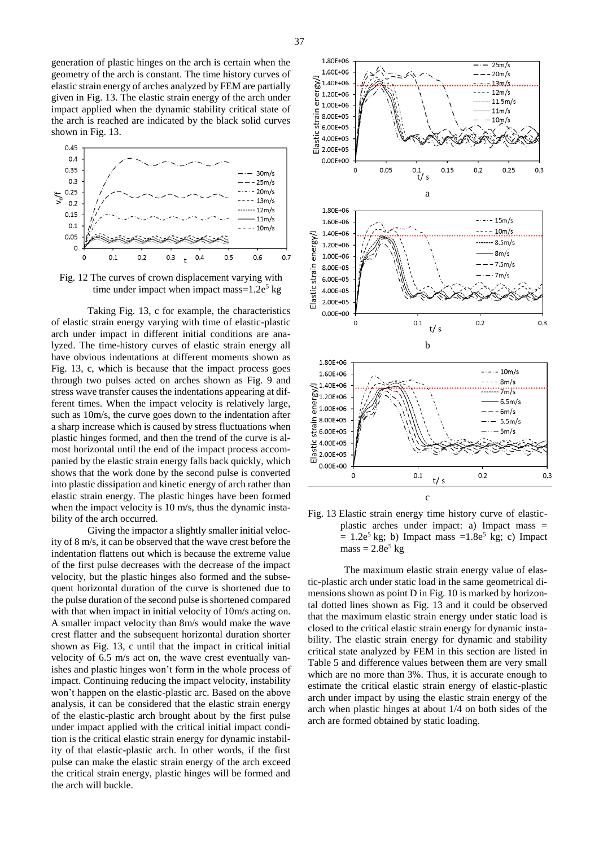generation of plastic hinges on the arch is certain when the geometry of the arch is constant. The time history curves of elastic strain energy of arches analyzed by FEM are partially given in Fig. 13. The elastic strain energy of the arch under impact applied when the dynamic stability critical state of the arch is reached are indicated by the black solid curves shown in Fig. 13.



Fig. 12 The curves of crown displacement varying with time under impact when impact mass=1.2e<sup>5</sup> kg

Taking Fig. 13, c for example, the characteristics of elastic strain energy varying with time of elastic-plastic arch under impact in different initial conditions are analyzed. The time-history curves of elastic strain energy all have obvious indentations at different moments shown as Fig. 13, c, which is because that the impact process goes through two pulses acted on arches shown as Fig. 9 and stress wave transfer causes the indentations appearing at different times. When the impact velocity is relatively large, such as 10m/s, the curve goes down to the indentation after a sharp increase which is caused by stress fluctuations when plastic hinges formed, and then the trend of the curve is almost horizontal until the end of the impact process accompanied by the elastic strain energy falls back quickly, which shows that the work done by the second pulse is converted into plastic dissipation and kinetic energy of arch rather than elastic strain energy. The plastic hinges have been formed when the impact velocity is 10 m/s, thus the dynamic instability of the arch occurred.

Giving the impactor a slightly smaller initial velocity of 8 m/s, it can be observed that the wave crest before the indentation flattens out which is because the extreme value of the first pulse decreases with the decrease of the impact velocity, but the plastic hinges also formed and the subsequent horizontal duration of the curve is shortened due to the pulse duration of the second pulse is shortened compared with that when impact in initial velocity of  $10m/s$  acting on. A smaller impact velocity than 8m/s would make the wave crest flatter and the subsequent horizontal duration shorter shown as Fig. 13, c until that the impact in critical initial velocity of 6.5 m/s act on, the wave crest eventually vanishes and plastic hinges won't form in the whole process of impact. Continuing reducing the impact velocity, instability won't happen on the elastic-plastic arc. Based on the above analysis, it can be considered that the elastic strain energy of the elastic-plastic arch brought about by the first pulse under impact applied with the critical initial impact condition is the critical elastic strain energy for dynamic instability of that elastic-plastic arch. In other words, if the first pulse can make the elastic strain energy of the arch exceed the critical strain energy, plastic hinges will be formed and the arch will buckle.



Fig. 13 Elastic strain energy time history curve of elasticplastic arches under impact: a) Impact mass =  $= 1.2e^5$  kg; b) Impact mass  $= 1.8e^5$  kg; c) Impact  $mass = 2.8e^5$  kg

The maximum elastic strain energy value of elastic-plastic arch under static load in the same geometrical dimensions shown as point D in Fig. 10 is marked by horizontal dotted lines shown as Fig. 13 and it could be observed that the maximum elastic strain energy under static load is closed to the critical elastic strain energy for dynamic instability. The elastic strain energy for dynamic and stability critical state analyzed by FEM in this section are listed in Table 5 and difference values between them are very small which are no more than 3%. Thus, it is accurate enough to estimate the critical elastic strain energy of elastic-plastic arch under impact by using the elastic strain energy of the arch when plastic hinges at about 1/4 on both sides of the arch are formed obtained by static loading.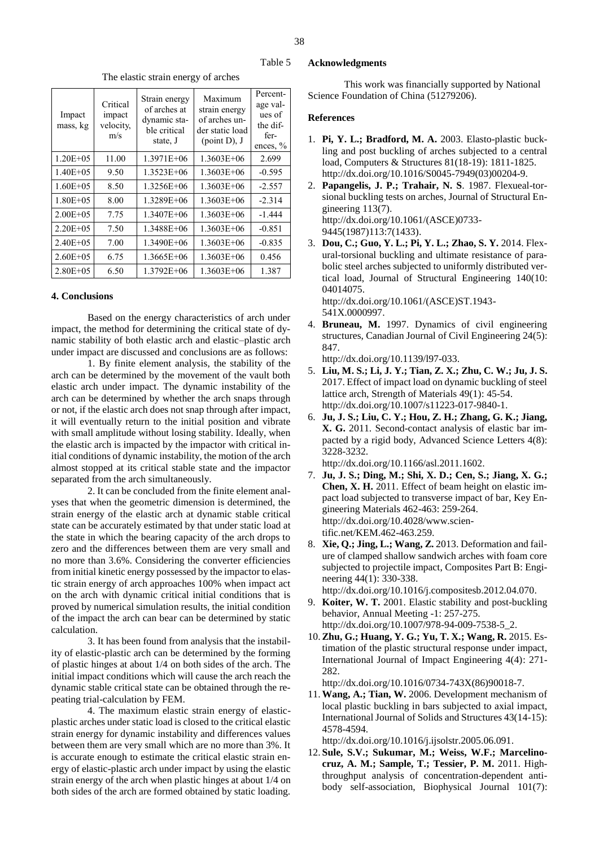Table 5

The elastic strain energy of arches

| Impact<br>mass, kg | Critical<br>impact<br>velocity,<br>m/s | Strain energy<br>of arches at<br>dynamic sta-<br>ble critical<br>state, J | Maximum<br>strain energy<br>of arches un-<br>der static load<br>(point D), J | Percent-<br>age val-<br>ues of<br>the dif-<br>fer-<br>ences, $\%$ |
|--------------------|----------------------------------------|---------------------------------------------------------------------------|------------------------------------------------------------------------------|-------------------------------------------------------------------|
| $1.20E + 0.5$      | 11.00                                  | 1.3971E+06                                                                | 1.3603E+06                                                                   | 2.699                                                             |
| $1.40E + 0.5$      | 9.50                                   | 1.3523E+06                                                                | 1.3603E+06                                                                   | $-0.595$                                                          |
| $1.60E + 05$       | 8.50                                   | 1.3256E+06                                                                | 1.3603E+06                                                                   | $-2.557$                                                          |
| $1.80E + 0.5$      | 8.00                                   | 1.3289E+06                                                                | 1.3603E+06                                                                   | $-2.314$                                                          |
| $2.00E + 0.5$      | 7.75                                   | 1.3407E+06                                                                | 1.3603E+06                                                                   | $-1.444$                                                          |
| $2.20E + 0.5$      | 7.50                                   | 1.3488E+06                                                                | 1.3603E+06                                                                   | $-0.851$                                                          |
| $2.40E + 05$       | 7.00                                   | 1.3490E+06                                                                | 1.3603E+06                                                                   | $-0.835$                                                          |
| $2.60E + 05$       | 6.75                                   | $1.3665E + 06$                                                            | 1.3603E+06                                                                   | 0.456                                                             |
| $2.80E + 0.5$      | 6.50                                   | 1.3792E+06                                                                | 1.3603E+06                                                                   | 1.387                                                             |

#### **4. Conclusions**

Based on the energy characteristics of arch under impact, the method for determining the critical state of dynamic stability of both elastic arch and elastic–plastic arch under impact are discussed and conclusions are as follows:

1. By finite element analysis, the stability of the arch can be determined by the movement of the vault both elastic arch under impact. The dynamic instability of the arch can be determined by whether the arch snaps through or not, if the elastic arch does not snap through after impact, it will eventually return to the initial position and vibrate with small amplitude without losing stability. Ideally, when the elastic arch is impacted by the impactor with critical initial conditions of dynamic instability, the motion of the arch almost stopped at its critical stable state and the impactor separated from the arch simultaneously.

2. It can be concluded from the finite element analyses that when the geometric dimension is determined, the strain energy of the elastic arch at dynamic stable critical state can be accurately estimated by that under static load at the state in which the bearing capacity of the arch drops to zero and the differences between them are very small and no more than 3.6%. Considering the converter efficiencies from initial kinetic energy possessed by the impactor to elastic strain energy of arch approaches 100% when impact act on the arch with dynamic critical initial conditions that is proved by numerical simulation results, the initial condition of the impact the arch can bear can be determined by static calculation.

3. It has been found from analysis that the instability of elastic-plastic arch can be determined by the forming of plastic hinges at about 1/4 on both sides of the arch. The initial impact conditions which will cause the arch reach the dynamic stable critical state can be obtained through the repeating trial-calculation by FEM.

4. The maximum elastic strain energy of elasticplastic arches under static load is closed to the critical elastic strain energy for dynamic instability and differences values between them are very small which are no more than 3%. It is accurate enough to estimate the critical elastic strain energy of elastic-plastic arch under impact by using the elastic strain energy of the arch when plastic hinges at about 1/4 on both sides of the arch are formed obtained by static loading.

#### **Acknowledgments**

This work was financially supported by National Science Foundation of China (51279206).

#### **References**

- 1. **Pi, Y. L.; Bradford, M. A.** 2003. Elasto-plastic buckling and post buckling of arches subjected to a central load, Computers & Structures 81(18-19): 1811-1825. http://dx.doi.org/10.1016/S0045-7949(03)00204-9.
- 2. **Papangelis, J. P.; Trahair, N. S**. 1987. Flexueal-torsional buckling tests on arches, Journal of Structural Engineering 113(7). http://dx.doi.org/10.1061/(ASCE)0733- 9445(1987)113:7(1433).
- 3. **Dou, C.; Guo, Y. L.; Pi, Y. L.; Zhao, S. Y.** 2014. Flexural-torsional buckling and ultimate resistance of parabolic steel arches subjected to uniformly distributed vertical load, Journal of Structural Engineering 140(10: 04014075.

http://dx.doi.org/10.1061/(ASCE)ST.1943- 541X.0000997.

- 4. **Bruneau, M.** 1997. Dynamics of civil engineering structures, Canadian Journal of Civil Engineering 24(5): 847.
	- http://dx.doi.org/10.1139/l97-033.
- 5. **Liu, M. S.; Li, J. Y.; Tian, Z. X.; Zhu, C. W.; Ju, J. S.** 2017. Effect of impact load on dynamic buckling of steel lattice arch, Strength of Materials 49(1): 45-54. http://dx.doi.org/10.1007/s11223-017-9840-1.
- 6. **Ju, J. S.; Liu, C. Y.; Hou, Z. H.; Zhang, G. K.; Jiang, X. G.** 2011. Second-contact analysis of elastic bar impacted by a rigid body, Advanced Science Letters 4(8): 3228-3232.

http://dx.doi.org/10.1166/asl.2011.1602.

- 7. **Ju, J. S.; Ding, M.; Shi, X. D.; Cen, S.; Jiang, X. G.; Chen, X. H.** 2011. Effect of beam height on elastic impact load subjected to transverse impact of bar, Key Engineering Materials 462-463: 259-264. http://dx.doi.org/10.4028/www.scientific.net/KEM.462-463.259.
- 8. **Xie, Q.; Jing, L.; Wang, Z.** 2013. Deformation and failure of clamped shallow sandwich arches with foam core subjected to projectile impact, Composites Part B: Engineering 44(1): 330-338.

http://dx.doi.org/10.1016/j.compositesb.2012.04.070.

- 9. **Koiter, W. T.** 2001. Elastic stability and post-buckling behavior, Annual Meeting -1: 257-275. http://dx.doi.org/10.1007/978-94-009-7538-5\_2.
- 10.**Zhu, G.; Huang, Y. G.; Yu, T. X.; Wang, R.** 2015. Estimation of the plastic structural response under impact, International Journal of Impact Engineering 4(4): 271- 282.

http://dx.doi.org/10.1016/0734-743X(86)90018-7.

11.**Wang, A.; Tian, W.** 2006. Development mechanism of local plastic buckling in bars subjected to axial impact, International Journal of Solids and Structures 43(14-15): 4578-4594.

http://dx.doi.org/10.1016/j.ijsolstr.2005.06.091.

12. **Sule, S.V.; Sukumar, M.; Weiss, W.F.; Marcelinocruz, A. M.; Sample, T.; Tessier, P. M.** 2011. Highthroughput analysis of concentration-dependent antibody self-association, Biophysical Journal 101(7):